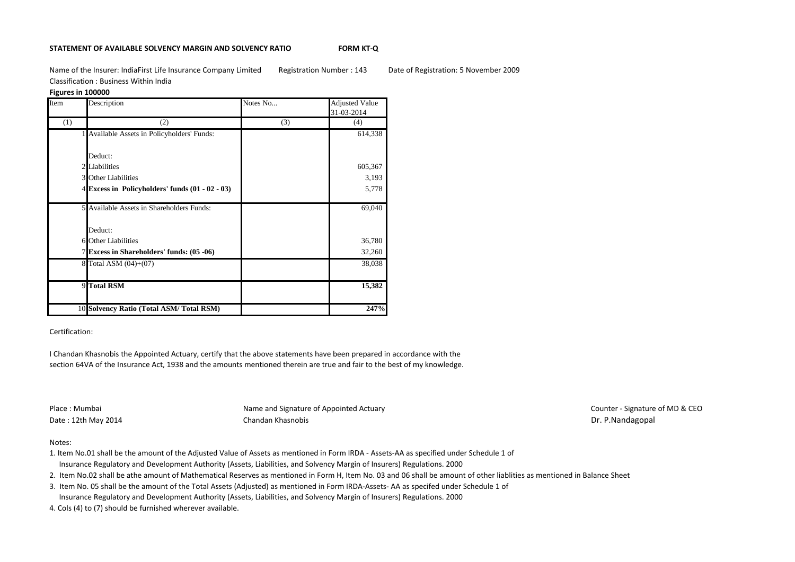### **STATEMENT OF AVAILABLE SOLVENCY MARGIN AND SOLVENCY RATIO FORM KT-Q**

Name of the Insurer: IndiaFirst Life Insurance Company Limited Registration Number : 143 Date of Registration: 5 November 2009 Classification : Business Within India

### **Figures in 100000**

| Item | Description                                         | Notes No | <b>Adjusted Value</b><br>31-03-2014 |
|------|-----------------------------------------------------|----------|-------------------------------------|
| (1)  | (2)                                                 | (3)      | (4)                                 |
|      | 1 Available Assets in Policyholders' Funds:         |          | 614,338                             |
|      | Deduct:                                             |          |                                     |
|      | 2 Liabilities                                       |          | 605,367                             |
|      | <b>3</b> Other Liabilities                          |          | 3,193                               |
|      | $4$ Excess in Policyholders' funds $(01 - 02 - 03)$ |          | 5,778                               |
|      | 5 Available Assets in Shareholders Funds:           |          | 69,040                              |
|      | Deduct:                                             |          |                                     |
|      | 6 Other Liabilities                                 |          | 36,780                              |
|      | 7 Excess in Shareholders' funds: (05 -06)           |          | 32,260                              |
|      | 8 Total ASM (04)+(07)                               |          | 38,038                              |
|      | 9 Total RSM                                         |          | 15,382                              |
|      | 10 Solvency Ratio (Total ASM/Total RSM)             |          | 247%                                |

# Certification:

I Chandan Khasnobis the Appointed Actuary, certify that the above statements have been prepared in accordance with the section 64VA of the Insurance Act, 1938 and the amounts mentioned therein are true and fair to the best of my knowledge.

Place : Mumbai **Name and Signature of Appointed Actuary Name and Signature of Appointed Actuary Place : Mumbai Counter - Signature of MD & CEO** Date : 12th May 2014 **Chandan Khasnobis** Chandan Khasnobis Dr. P.Nandagopal

## Notes:

- 1. Item No.01 shall be the amount of the Adjusted Value of Assets as mentioned in Form IRDA Assets-AA as specified under Schedule 1 of Insurance Regulatory and Development Authority (Assets, Liabilities, and Solvency Margin of Insurers) Regulations. 2000
- 2. Item No.02 shall be athe amount of Mathematical Reserves as mentioned in Form H, Item No. 03 and 06 shall be amount of other liablities as mentioned in Balance Sheet
- 3. Item No. 05 shall be the amount of the Total Assets (Adjusted) as mentioned in Form IRDA-Assets- AA as specifed under Schedule 1 of Insurance Regulatory and Development Authority (Assets, Liabilities, and Solvency Margin of Insurers) Regulations. 2000
- 4. Cols (4) to (7) should be furnished wherever available.